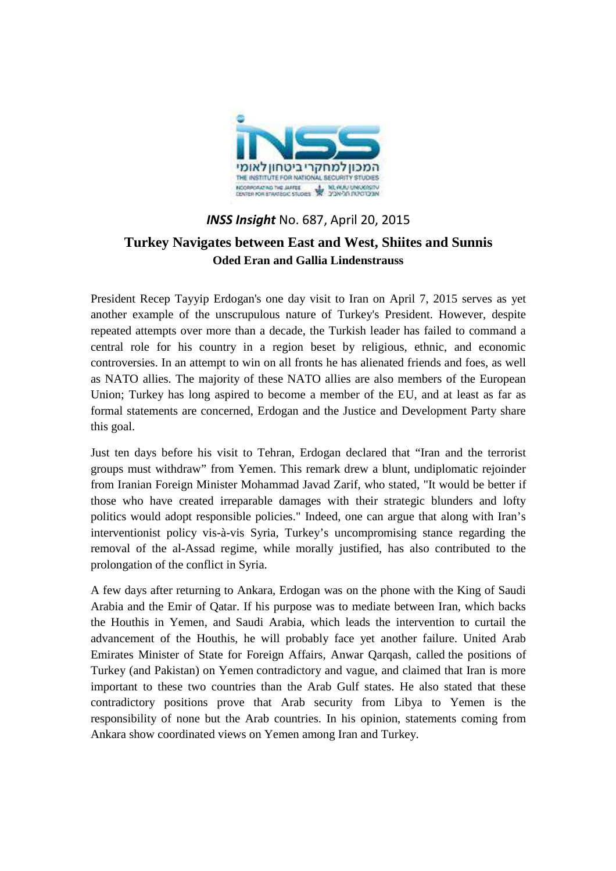

## *INSS Insight* No. 687, April 20, 2015 **Turkey Navigates between East and West, Shiites and Sunnis Oded Eran and Gallia Lindenstrauss**

President Recep Tayyip Erdogan's one day visit to Iran on April 7, 2015 serves as yet another example of the unscrupulous nature of Turkey's President. However, despite repeated attempts over more than a decade, the Turkish leader has failed to command a central role for his country in a region beset by religious, ethnic, and economic controversies. In an attempt to win on all fronts he has alienated friends and foes, as well as NATO allies. The majority of these NATO allies are also members of the European Union; Turkey has long aspired to become a member of the EU, and at least as far as formal statements are concerned, Erdogan and the Justice and Development Party share this goal.

Just ten days before his visit to Tehran, Erdogan declared that "Iran and the terrorist groups must withdraw" from Yemen. This remark drew a blunt, undiplomatic rejoinder from Iranian Foreign Minister Mohammad Javad Zarif, who stated, "It would be better if those who have created irreparable damages with their strategic blunders and lofty politics would adopt responsible policies." Indeed, one can argue that along with Iran's interventionist policy vis-à-vis Syria, Turkey's uncompromising stance regarding the removal of the al-Assad regime, while morally justified, has also contributed to the prolongation of the conflict in Syria.

A few days after returning to Ankara, Erdogan was on the phone with the King of Saudi Arabia and the Emir of Qatar. If his purpose was to mediate between Iran, which backs the Houthis in Yemen, and Saudi Arabia, which leads the intervention to curtail the advancement of the Houthis, he will probably face yet another failure. United Arab Emirates Minister of State for Foreign Affairs, Anwar Qarqash, called the positions of Turkey (and Pakistan) on Yemen contradictory and vague, and claimed that Iran is more important to these two countries than the Arab Gulf states. He also stated that these contradictory positions prove that Arab security from Libya to Yemen is the responsibility of none but the Arab countries. In his opinion, statements coming from Ankara show coordinated views on Yemen among Iran and Turkey.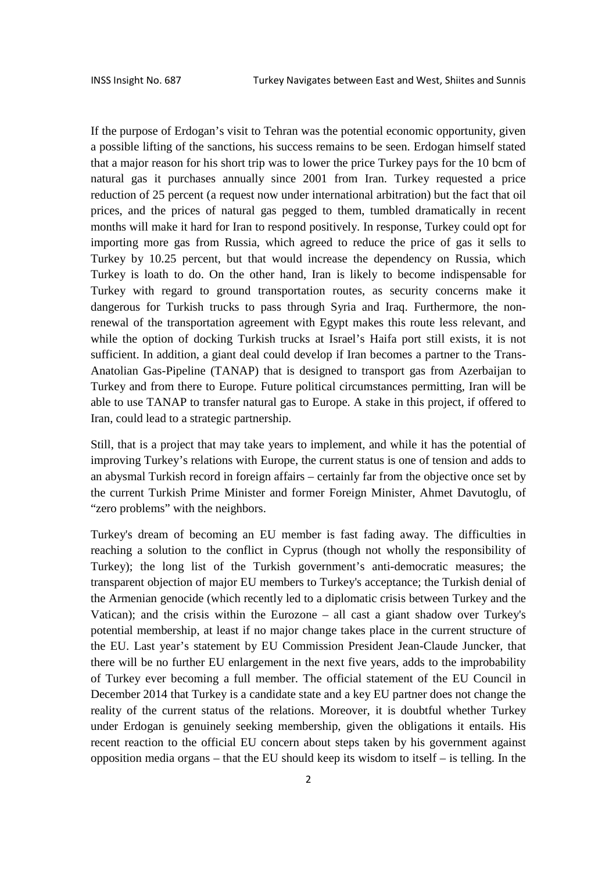If the purpose of Erdogan's visit to Tehran was the potential economic opportunity, given a possible lifting of the sanctions, his success remains to be seen. Erdogan himself stated that a major reason for his short trip was to lower the price Turkey pays for the 10 bcm of natural gas it purchases annually since 2001 from Iran. Turkey requested a price reduction of 25 percent (a request now under international arbitration) but the fact that oil prices, and the prices of natural gas pegged to them, tumbled dramatically in recent months will make it hard for Iran to respond positively. In response, Turkey could opt for importing more gas from Russia, which agreed to reduce the price of gas it sells to Turkey by 10.25 percent, but that would increase the dependency on Russia, which Turkey is loath to do. On the other hand, Iran is likely to become indispensable for Turkey with regard to ground transportation routes, as security concerns make it dangerous for Turkish trucks to pass through Syria and Iraq. Furthermore, the nonrenewal of the transportation agreement with Egypt makes this route less relevant, and while the option of docking Turkish trucks at Israel's Haifa port still exists, it is not sufficient. In addition, a giant deal could develop if Iran becomes a partner to the Trans-Anatolian Gas-Pipeline (TANAP) that is designed to transport gas from Azerbaijan to Turkey and from there to Europe. Future political circumstances permitting, Iran will be able to use TANAP to transfer natural gas to Europe. A stake in this project, if offered to Iran, could lead to a strategic partnership.

Still, that is a project that may take years to implement, and while it has the potential of improving Turkey's relations with Europe, the current status is one of tension and adds to an abysmal Turkish record in foreign affairs – certainly far from the objective once set by the current Turkish Prime Minister and former Foreign Minister, Ahmet Davutoglu, of "zero problems" with the neighbors.

Turkey's dream of becoming an EU member is fast fading away. The difficulties in reaching a solution to the conflict in Cyprus (though not wholly the responsibility of Turkey); the long list of the Turkish government's anti-democratic measures; the transparent objection of major EU members to Turkey's acceptance; the Turkish denial of the Armenian genocide (which recently led to a diplomatic crisis between Turkey and the Vatican); and the crisis within the Eurozone – all cast a giant shadow over Turkey's potential membership, at least if no major change takes place in the current structure of the EU. Last year's statement by EU Commission President Jean-Claude Juncker, that there will be no further EU enlargement in the next five years, adds to the improbability of Turkey ever becoming a full member. The official statement of the EU Council in December 2014 that Turkey is a candidate state and a key EU partner does not change the reality of the current status of the relations. Moreover, it is doubtful whether Turkey under Erdogan is genuinely seeking membership, given the obligations it entails. His recent reaction to the official EU concern about steps taken by his government against opposition media organs – that the EU should keep its wisdom to itself  $-$  is telling. In the